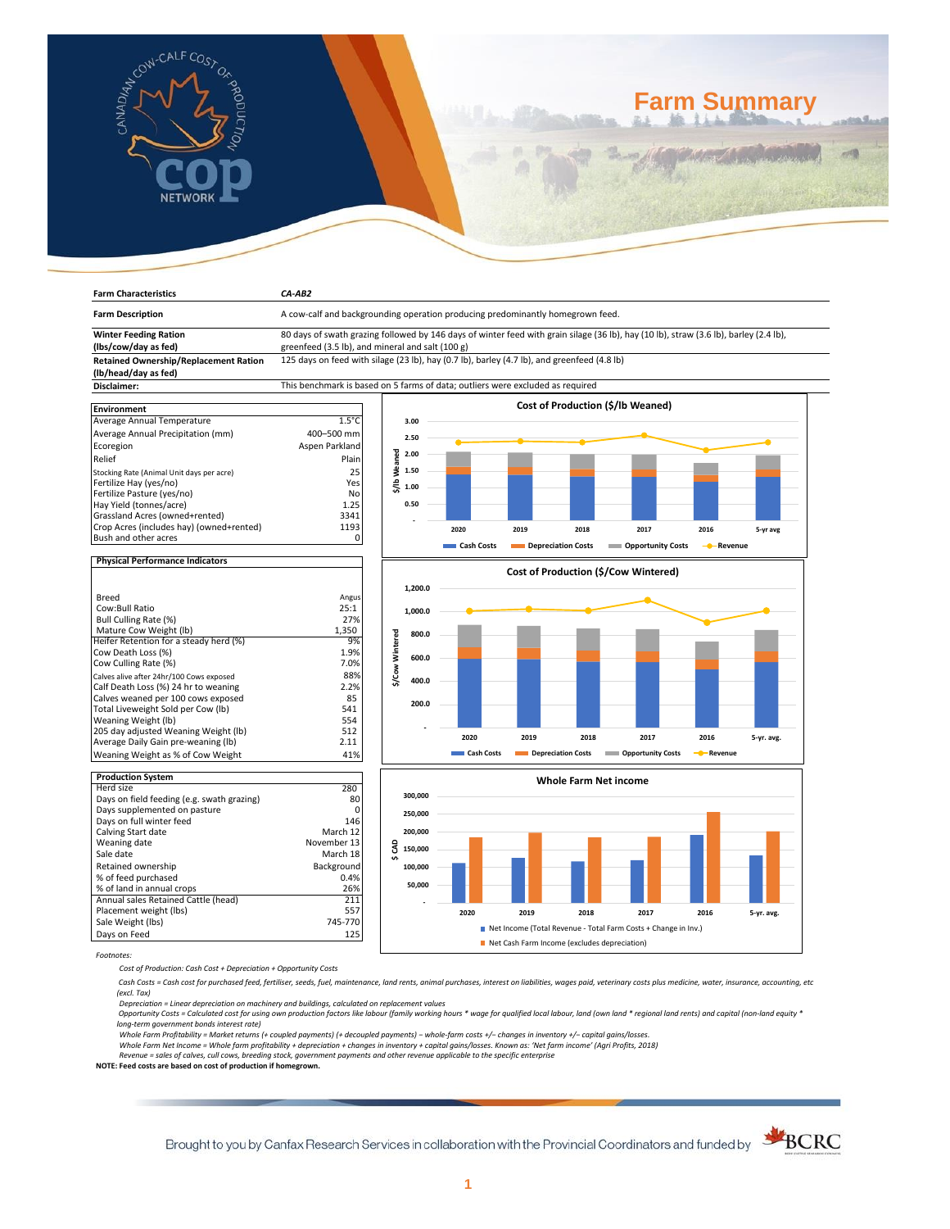

**Farm Characteristics** *CA-AB2*

# **Farm Summary**

| <b>Farm Description</b>                                                     | A cow-calf and backgrounding operation producing predominantly homegrown feed.                                                        |                 |         |            |                    |                              |                                      |                       |            |
|-----------------------------------------------------------------------------|---------------------------------------------------------------------------------------------------------------------------------------|-----------------|---------|------------|--------------------|------------------------------|--------------------------------------|-----------------------|------------|
| <b>Winter Feeding Ration</b>                                                | 80 days of swath grazing followed by 146 days of winter feed with grain silage (36 lb), hay (10 lb), straw (3.6 lb), barley (2.4 lb), |                 |         |            |                    |                              |                                      |                       |            |
| (lbs/cow/day as fed)                                                        | greenfeed (3.5 lb), and mineral and salt (100 g)                                                                                      |                 |         |            |                    |                              |                                      |                       |            |
| Retained Ownership/Replacement Ration<br>(lb/head/day as fed)               | 125 days on feed with silage (23 lb), hay (0.7 lb), barley (4.7 lb), and greenfeed (4.8 lb)                                           |                 |         |            |                    |                              |                                      |                       |            |
| Disclaimer:                                                                 | This benchmark is based on 5 farms of data; outliers were excluded as required                                                        |                 |         |            |                    |                              |                                      |                       |            |
|                                                                             |                                                                                                                                       |                 |         |            |                    |                              |                                      |                       |            |
| Environment                                                                 |                                                                                                                                       |                 |         |            |                    |                              | Cost of Production (\$/lb Weaned)    |                       |            |
| Average Annual Temperature                                                  | $1.5^{\circ}$ C                                                                                                                       |                 | 3.00    |            |                    |                              |                                      |                       |            |
| Average Annual Precipitation (mm)                                           | 400-500 mm                                                                                                                            |                 | 2.50    |            |                    |                              |                                      |                       |            |
| Ecoregion                                                                   | Aspen Parkland                                                                                                                        |                 |         |            |                    |                              |                                      |                       |            |
| Relief                                                                      | Plain                                                                                                                                 | \$/Ib Weaned    | 2.00    |            |                    |                              |                                      |                       |            |
| Stocking Rate (Animal Unit days per acre)                                   | 25                                                                                                                                    |                 | 1.50    |            |                    |                              |                                      |                       |            |
| Fertilize Hay (yes/no)                                                      | Yes                                                                                                                                   |                 |         |            |                    |                              |                                      |                       |            |
| Fertilize Pasture (yes/no)                                                  | No                                                                                                                                    |                 | 1.00    |            |                    |                              |                                      |                       |            |
| Hay Yield (tonnes/acre)                                                     | 1.25                                                                                                                                  |                 | 0.50    |            |                    |                              |                                      |                       |            |
| Grassland Acres (owned+rented)                                              | 3341                                                                                                                                  |                 |         |            |                    |                              |                                      |                       |            |
| Crop Acres (includes hay) (owned+rented)                                    | 1193                                                                                                                                  |                 |         | 2020       | 2019               | 2018                         | 2017                                 | 2016                  | 5-yr avg   |
| Bush and other acres                                                        | 0                                                                                                                                     |                 |         |            |                    |                              |                                      |                       |            |
|                                                                             |                                                                                                                                       |                 |         | Cash Costs | Depreciation Costs |                              | <b>Opportunity Costs</b>             | - Revenue             |            |
| <b>Physical Performance Indicators</b>                                      |                                                                                                                                       |                 |         |            |                    |                              |                                      |                       |            |
|                                                                             |                                                                                                                                       |                 |         |            |                    |                              | Cost of Production (\$/Cow Wintered) |                       |            |
|                                                                             |                                                                                                                                       |                 | 1,200.0 |            |                    |                              |                                      |                       |            |
| <b>Breed</b>                                                                | Angus                                                                                                                                 |                 |         |            |                    |                              |                                      |                       |            |
| Cow:Bull Ratio                                                              | 25:1                                                                                                                                  |                 | 1,000.0 |            |                    |                              |                                      |                       |            |
| Bull Culling Rate (%)                                                       | 27%                                                                                                                                   |                 |         |            |                    |                              |                                      |                       |            |
| Mature Cow Weight (lb)                                                      | 1,350                                                                                                                                 |                 | 800.0   |            |                    |                              |                                      |                       |            |
| Heifer Retention for a steady herd (%)                                      | 9%                                                                                                                                    | \$/Cow Wintered |         |            |                    |                              |                                      |                       |            |
| Cow Death Loss (%)                                                          | 1.9%                                                                                                                                  |                 | 600.0   |            |                    |                              |                                      |                       |            |
| Cow Culling Rate (%)                                                        | 7.0%                                                                                                                                  |                 |         |            |                    |                              |                                      |                       |            |
| Calves alive after 24hr/100 Cows exposed                                    | 88%                                                                                                                                   |                 | 400.0   |            |                    |                              |                                      |                       |            |
| Calf Death Loss (%) 24 hr to weaning                                        | 2.2%                                                                                                                                  |                 |         |            |                    |                              |                                      |                       |            |
| Calves weaned per 100 cows exposed                                          | 85                                                                                                                                    |                 | 200.0   |            |                    |                              |                                      |                       |            |
| Total Liveweight Sold per Cow (lb)                                          | 541                                                                                                                                   |                 |         |            |                    |                              |                                      |                       |            |
| Weaning Weight (lb)                                                         | 554                                                                                                                                   |                 |         |            |                    |                              |                                      |                       |            |
| 205 day adjusted Weaning Weight (lb)<br>Average Daily Gain pre-weaning (lb) | 512<br>2.11                                                                                                                           |                 |         | 2020       | 2019               | 2018                         | 2017                                 | 2016                  | 5-yr. avg. |
|                                                                             | 41%                                                                                                                                   |                 |         | Cash Costs | Depreciation Costs |                              | <b>COPPORTUGITY COSTS</b>            | - <sup></sup> Revenue |            |
| Weaning Weight as % of Cow Weight                                           |                                                                                                                                       |                 |         |            |                    |                              |                                      |                       |            |
| <b>Production System</b>                                                    |                                                                                                                                       |                 |         |            |                    |                              |                                      |                       |            |
| Herd size                                                                   | 280                                                                                                                                   |                 |         |            |                    | <b>Whole Farm Net income</b> |                                      |                       |            |
| Days on field feeding (e.g. swath grazing)                                  | 80                                                                                                                                    |                 | 300.000 |            |                    |                              |                                      |                       |            |
| Days supplemented on pasture                                                | C                                                                                                                                     |                 | 250,000 |            |                    |                              |                                      |                       |            |
| Days on full winter feed                                                    | 146                                                                                                                                   |                 |         |            |                    |                              |                                      |                       |            |
| Calving Start date                                                          | March 12                                                                                                                              |                 | 200,000 |            |                    |                              |                                      |                       |            |
| Weaning date                                                                | November 13                                                                                                                           | g               | 150,000 |            |                    |                              |                                      |                       |            |
| Sale date                                                                   | March 18                                                                                                                              | ÷               |         |            |                    |                              |                                      |                       |            |
| Retained ownership                                                          | Background                                                                                                                            |                 | 100,000 |            |                    |                              |                                      |                       |            |
| % of feed purchased                                                         | 0.4%                                                                                                                                  |                 |         |            |                    |                              |                                      |                       |            |
| % of land in annual crops                                                   | 26%                                                                                                                                   |                 | 50,000  |            |                    |                              |                                      |                       |            |
| Annual sales Retained Cattle (head)                                         | 211                                                                                                                                   |                 |         |            |                    |                              |                                      |                       |            |
| Placement weight (lbs)                                                      | 557                                                                                                                                   |                 |         | 2020       | 2019               | 2018                         | 2017                                 | 2016                  | 5-yr. avg. |

Days on Feed *Footnotes:*

*Cost of Production: Cash Cost + Depreciation + Opportunity Costs*

Fale Weight (lbs) 745-770<br>Days on Feed 125

 *Cash Costs = Cash cost for purchased feed, fertiliser, seeds, fuel, maintenance, land rents, animal purchases, interest on liabilities, wages paid, veterinary costs plus medicine, water, insurance, accounting, etc (excl. Tax)* 

■ Net Income (Total Revenue - Total Farm Costs + Change in Inv.)

Net Cash Farm Income (excludes depreciation)

Depreciation = Linear depreciation on machinery and buildings, calculated on replacement values<br>Opportunity Costs = Calculated cost for using own production factors like labour (family working hours \* wage for qualified lo

*long-term government bonds interest rate)* 

Whole Farm Profitability = Market returns (+ coupled payments) (+ decoupled payments) – whole-farm costs +/– changes in inventory +/– capital gains/losses.<br>Whole Farm Net Income = Whole farm profitability + depreciation +

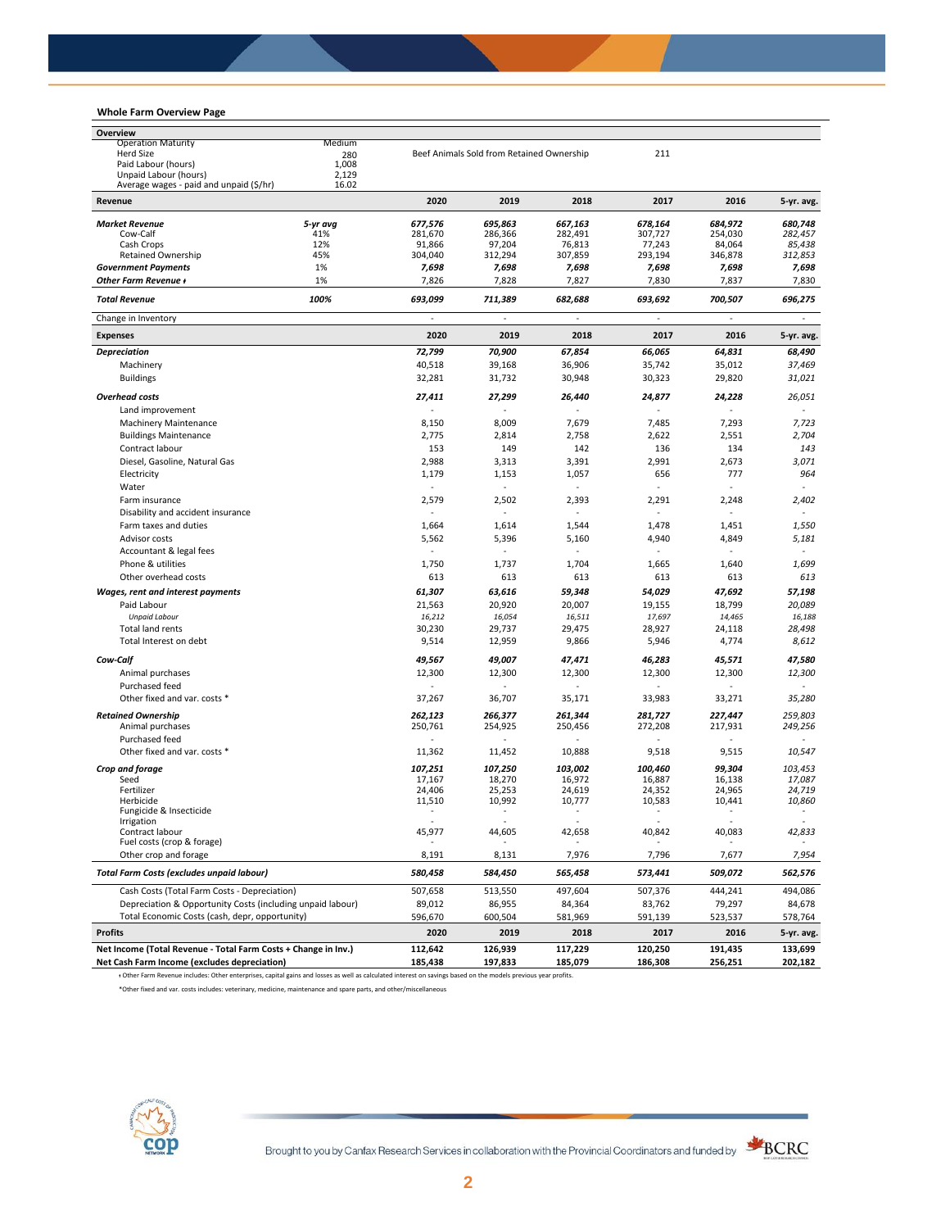## **Whole Farm Overview Page**

| Overview                                                                                                                                                        |                |                                    |                                           |                                    |                                     |                  |                                    |
|-----------------------------------------------------------------------------------------------------------------------------------------------------------------|----------------|------------------------------------|-------------------------------------------|------------------------------------|-------------------------------------|------------------|------------------------------------|
| <b>Operation Maturity</b>                                                                                                                                       | Medium         |                                    |                                           |                                    |                                     |                  |                                    |
| <b>Herd Size</b>                                                                                                                                                | 280            |                                    | Beef Animals Sold from Retained Ownership |                                    | 211                                 |                  |                                    |
| Paid Labour (hours)<br>Unpaid Labour (hours)                                                                                                                    | 1,008<br>2,129 |                                    |                                           |                                    |                                     |                  |                                    |
| Average wages - paid and unpaid (\$/hr)                                                                                                                         | 16.02          |                                    |                                           |                                    |                                     |                  |                                    |
| Revenue                                                                                                                                                         |                | 2020                               | 2019                                      | 2018                               | 2017                                | 2016             | 5-yr. avg.                         |
| <b>Market Revenue</b>                                                                                                                                           | 5-yr avg       | 677,576                            | 695,863                                   | 667,163                            | 678,164                             | 684,972          | 680,748                            |
| Cow-Calf                                                                                                                                                        | 41%            | 281,670                            | 286,366                                   | 282,491                            | 307,727                             | 254,030          | 282,457                            |
| Cash Crops                                                                                                                                                      | 12%            | 91,866                             | 97,204                                    | 76,813                             | 77,243                              | 84,064           | 85,438                             |
| <b>Retained Ownership</b>                                                                                                                                       | 45%            | 304,040                            | 312,294                                   | 307,859                            | 293,194                             | 346,878          | 312,853                            |
| <b>Government Payments</b>                                                                                                                                      | 1%             | 7,698                              | 7,698                                     | 7,698                              | 7,698                               | 7,698            | 7,698                              |
| Other Farm Revenue +                                                                                                                                            | 1%             | 7,826                              | 7,828                                     | 7,827                              | 7,830                               | 7,837            | 7,830                              |
| <b>Total Revenue</b><br>Change in Inventory                                                                                                                     | 100%           | 693,099<br>ä,                      | 711,389<br>ä,                             | 682,688<br>÷,                      | 693,692<br>$\overline{\phantom{a}}$ | 700,507<br>÷,    | 696,275<br>$\blacksquare$          |
| <b>Expenses</b>                                                                                                                                                 |                | 2020                               | 2019                                      | 2018                               | 2017                                | 2016             | 5-yr. avg.                         |
| <b>Depreciation</b>                                                                                                                                             |                | 72,799                             | 70,900                                    | 67,854                             | 66,065                              | 64,831           | 68,490                             |
| Machinery                                                                                                                                                       |                | 40,518                             | 39,168                                    | 36,906                             | 35,742                              | 35,012           | 37,469                             |
| <b>Buildings</b>                                                                                                                                                |                | 32,281                             | 31,732                                    | 30,948                             | 30,323                              | 29,820           | 31,021                             |
|                                                                                                                                                                 |                |                                    |                                           |                                    |                                     |                  |                                    |
| <b>Overhead costs</b>                                                                                                                                           |                | 27,411                             | 27,299                                    | 26,440                             | 24,877                              | 24,228           | 26,051                             |
| Land improvement                                                                                                                                                |                |                                    |                                           |                                    |                                     |                  |                                    |
| <b>Machinery Maintenance</b>                                                                                                                                    |                | 8,150                              | 8,009                                     | 7,679                              | 7,485                               | 7,293            | 7,723                              |
| <b>Buildings Maintenance</b>                                                                                                                                    |                | 2,775                              | 2,814                                     | 2,758                              | 2,622                               | 2,551            | 2,704                              |
| Contract labour                                                                                                                                                 |                | 153                                | 149                                       | 142                                | 136                                 | 134              | 143                                |
| Diesel, Gasoline, Natural Gas                                                                                                                                   |                | 2,988                              | 3,313                                     | 3,391                              | 2,991                               | 2,673            | 3,071                              |
| Electricity                                                                                                                                                     |                | 1,179                              | 1,153                                     | 1,057                              | 656                                 | 777              | 964                                |
| Water                                                                                                                                                           |                | $\omega$                           | $\omega$                                  |                                    | L.                                  |                  |                                    |
| Farm insurance                                                                                                                                                  |                | 2,579                              | 2,502                                     | 2,393                              | 2,291                               | 2,248            | 2,402                              |
| Disability and accident insurance                                                                                                                               |                | $\sim$                             |                                           | $\overline{a}$                     | L.                                  |                  | $\overline{\phantom{a}}$           |
| Farm taxes and duties                                                                                                                                           |                | 1,664                              | 1,614                                     | 1,544                              | 1,478                               | 1,451            | 1,550                              |
| Advisor costs                                                                                                                                                   |                | 5,562                              | 5,396                                     | 5,160                              | 4,940                               | 4,849            | 5,181                              |
| Accountant & legal fees                                                                                                                                         |                | ä,                                 | ä,                                        | $\overline{a}$                     | ä,                                  | $\sim$           | $\omega$                           |
| Phone & utilities                                                                                                                                               |                | 1,750                              | 1,737                                     | 1,704                              | 1,665                               | 1,640            | 1,699                              |
| Other overhead costs                                                                                                                                            |                | 613                                | 613                                       | 613                                | 613                                 | 613              | 613                                |
| Wages, rent and interest payments                                                                                                                               |                | 61,307                             | 63,616                                    | 59,348                             | 54,029                              | 47,692           | 57,198                             |
| Paid Labour                                                                                                                                                     |                | 21,563                             | 20,920                                    | 20,007                             | 19,155                              | 18,799           | 20,089                             |
| <b>Unpaid Labour</b>                                                                                                                                            |                | 16,212                             | 16,054                                    | 16,511                             | 17,697                              | 14,465           | 16,188                             |
| Total land rents                                                                                                                                                |                | 30,230                             | 29,737                                    | 29,475                             | 28,927                              | 24,118           | 28,498                             |
| Total Interest on debt                                                                                                                                          |                | 9,514                              | 12,959                                    | 9,866                              | 5,946                               | 4,774            | 8,612                              |
| Cow-Calf                                                                                                                                                        |                | 49,567                             | 49,007                                    | 47,471                             | 46,283                              | 45,571           | 47,580                             |
| Animal purchases                                                                                                                                                |                | 12,300                             | 12,300                                    | 12,300                             | 12,300                              | 12,300           | 12,300                             |
| Purchased feed                                                                                                                                                  |                | ä,                                 |                                           |                                    | ÷,                                  | $\overline{a}$   |                                    |
| Other fixed and var. costs *                                                                                                                                    |                | 37,267                             | 36,707                                    | 35,171                             | 33,983                              | 33,271           | 35,280                             |
| <b>Retained Ownership</b>                                                                                                                                       |                | 262,123                            | 266,377                                   | 261,344                            | 281,727                             | 227,447          | 259,803                            |
| Animal purchases                                                                                                                                                |                | 250,761                            | 254,925                                   | 250,456                            | 272,208                             | 217,931          | 249,256                            |
| Purchased feed                                                                                                                                                  |                | ä,                                 | ä,                                        | ÷                                  | ä,                                  | $\overline{a}$   | ÷.                                 |
| Other fixed and var. costs *                                                                                                                                    |                | 11,362                             | 11,452                                    | 10,888                             | 9,518                               | 9,515            | 10,547                             |
| Crop and forage                                                                                                                                                 |                | 107.251                            | 107,250                                   | 103,002                            | 100,460                             | 99,304           | 103.453                            |
| Seed                                                                                                                                                            |                | 17,167                             | 18,270                                    | 16,972                             | 16,887                              | 16,138           | 17,087                             |
| Fertilizer                                                                                                                                                      |                | 24,406                             | 25,253                                    | 24,619                             | 24,352                              | 24,965           | 24,719                             |
| Herbicide<br>Fungicide & Insecticide                                                                                                                            |                | 11,510<br>$\overline{\phantom{a}}$ | 10,992<br>$\overline{\phantom{a}}$        | 10,777<br>$\overline{\phantom{a}}$ | 10,583<br>$\overline{\phantom{a}}$  | 10,441<br>$\sim$ | 10,860<br>$\overline{\phantom{a}}$ |
| Irrigation                                                                                                                                                      |                |                                    |                                           |                                    |                                     |                  |                                    |
| Contract labour                                                                                                                                                 |                | 45,977                             | 44,605                                    | 42,658                             | 40,842                              | 40,083           | 42,833                             |
| Fuel costs (crop & forage)                                                                                                                                      |                |                                    |                                           |                                    |                                     |                  |                                    |
| Other crop and forage                                                                                                                                           |                | 8,191                              | 8,131                                     | 7,976                              | 7,796                               | 7,677            | 7,954                              |
| Total Farm Costs (excludes unpaid labour)                                                                                                                       |                | 580,458                            | 584,450                                   | 565,458                            | 573,441                             | 509,072          | 562,576                            |
| Cash Costs (Total Farm Costs - Depreciation)                                                                                                                    |                | 507,658                            | 513,550                                   | 497,604                            | 507,376                             | 444,241          | 494.086                            |
| Depreciation & Opportunity Costs (including unpaid labour)                                                                                                      |                | 89,012                             | 86,955                                    | 84,364                             | 83,762                              | 79,297           | 84,678                             |
| Total Economic Costs (cash, depr, opportunity)                                                                                                                  |                | 596,670                            | 600,504                                   | 581,969                            | 591,139                             | 523,537          | 578,764                            |
| <b>Profits</b>                                                                                                                                                  |                | 2020                               | 2019                                      | 2018                               | 2017                                | 2016             | 5-yr. avg.                         |
| Net Income (Total Revenue - Total Farm Costs + Change in Inv.)                                                                                                  |                | 112,642                            | 126,939                                   | 117,229                            | 120,250                             | 191,435          | 133,699                            |
| Net Cash Farm Income (excludes depreciation)                                                                                                                    |                | 185,438                            | 197,833                                   | 185,079                            | 186,308                             | 256,251          | 202,182                            |
| + Other Farm Revenue includes: Other enterprises, capital gains and losses as well as calculated interest on savings based on the models previous year profits. |                |                                    |                                           |                                    |                                     |                  |                                    |

\*Other fixed and var. costs includes: veterinary, medicine, maintenance and spare parts, and other/miscellaneous



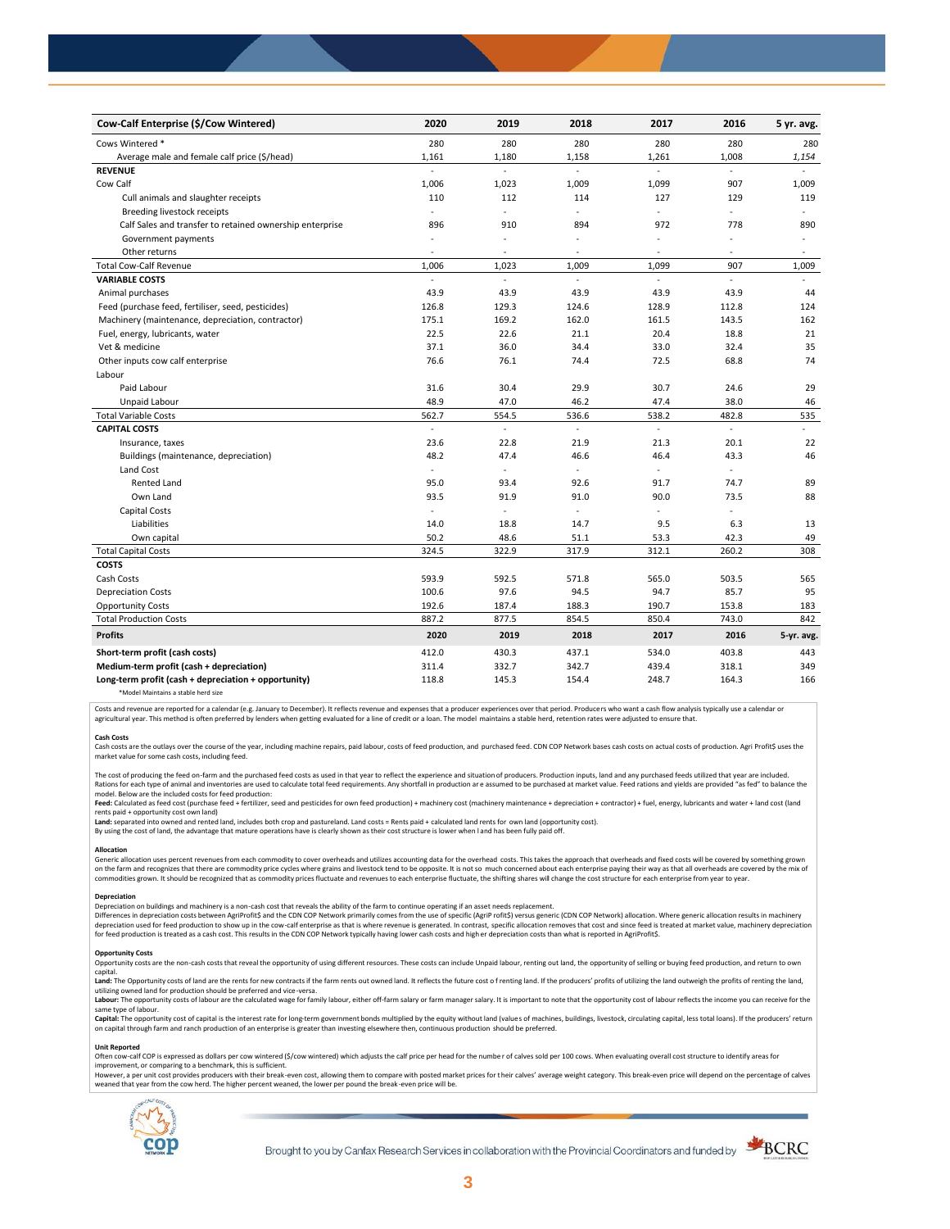| Cow-Calf Enterprise (\$/Cow Wintered)                    | 2020                     | 2019                     | 2018                     | 2017                     | 2016                     | 5 yr. avg. |
|----------------------------------------------------------|--------------------------|--------------------------|--------------------------|--------------------------|--------------------------|------------|
| Cows Wintered *                                          | 280                      | 280                      | 280                      | 280                      | 280                      | 280        |
| Average male and female calf price (\$/head)             | 1,161                    | 1,180                    | 1,158                    | 1,261                    | 1,008                    | 1,154      |
| <b>REVENUE</b>                                           |                          |                          |                          |                          |                          |            |
| Cow Calf                                                 | 1,006                    | 1,023                    | 1,009                    | 1,099                    | 907                      | 1,009      |
| Cull animals and slaughter receipts                      | 110                      | 112                      | 114                      | 127                      | 129                      | 119        |
| Breeding livestock receipts                              | L.                       | L.                       | ÷                        | ÷                        | ÷,                       | ÷          |
| Calf Sales and transfer to retained ownership enterprise | 896                      | 910                      | 894                      | 972                      | 778                      | 890        |
| Government payments                                      | ÷,                       | ÷,                       | $\ddot{\phantom{1}}$     | ä,                       |                          | ÷.         |
| Other returns                                            | $\overline{\phantom{a}}$ | ٠                        | $\overline{\phantom{a}}$ | $\overline{\phantom{a}}$ | $\overline{\phantom{a}}$ | $\bar{a}$  |
| <b>Total Cow-Calf Revenue</b>                            | 1,006                    | 1,023                    | 1,009                    | 1,099                    | 907                      | 1,009      |
| <b>VARIABLE COSTS</b>                                    | L.                       | L.                       | ÷.                       | L.                       | $\overline{a}$           |            |
| Animal purchases                                         | 43.9                     | 43.9                     | 43.9                     | 43.9                     | 43.9                     | 44         |
| Feed (purchase feed, fertiliser, seed, pesticides)       | 126.8                    | 129.3                    | 124.6                    | 128.9                    | 112.8                    | 124        |
| Machinery (maintenance, depreciation, contractor)        | 175.1                    | 169.2                    | 162.0                    | 161.5                    | 143.5                    | 162        |
| Fuel, energy, lubricants, water                          | 22.5                     | 22.6                     | 21.1                     | 20.4                     | 18.8                     | 21         |
| Vet & medicine                                           | 37.1                     | 36.0                     | 34.4                     | 33.0                     | 32.4                     | 35         |
| Other inputs cow calf enterprise                         | 76.6                     | 76.1                     | 74.4                     | 72.5                     | 68.8                     | 74         |
| Labour                                                   |                          |                          |                          |                          |                          |            |
| Paid Labour                                              | 31.6                     | 30.4                     | 29.9                     | 30.7                     | 24.6                     | 29         |
| Unpaid Labour                                            | 48.9                     | 47.0                     | 46.2                     | 47.4                     | 38.0                     | 46         |
| <b>Total Variable Costs</b>                              | 562.7                    | 554.5                    | 536.6                    | 538.2                    | 482.8                    | 535        |
| <b>CAPITAL COSTS</b>                                     | $\omega$                 | $\overline{\phantom{a}}$ | $\mathbf{r}$             | ä,                       | ÷.                       | ä,         |
| Insurance, taxes                                         | 23.6                     | 22.8                     | 21.9                     | 21.3                     | 20.1                     | 22         |
| Buildings (maintenance, depreciation)                    | 48.2                     | 47.4                     | 46.6                     | 46.4                     | 43.3                     | 46         |
| Land Cost                                                | ä,                       |                          |                          | ä,                       |                          |            |
| <b>Rented Land</b>                                       | 95.0                     | 93.4                     | 92.6                     | 91.7                     | 74.7                     | 89         |
| Own Land                                                 | 93.5                     | 91.9                     | 91.0                     | 90.0                     | 73.5                     | 88         |
| Capital Costs                                            | $\sim$                   | ٠                        | $\overline{\phantom{a}}$ | $\blacksquare$           |                          |            |
| Liabilities                                              | 14.0                     | 18.8                     | 14.7                     | 9.5                      | 6.3                      | 13         |
| Own capital                                              | 50.2                     | 48.6                     | 51.1                     | 53.3                     | 42.3                     | 49         |
| <b>Total Capital Costs</b>                               | 324.5                    | 322.9                    | 317.9                    | 312.1                    | 260.2                    | 308        |
| <b>COSTS</b>                                             |                          |                          |                          |                          |                          |            |
| Cash Costs                                               | 593.9                    | 592.5                    | 571.8                    | 565.0                    | 503.5                    | 565        |
| <b>Depreciation Costs</b>                                | 100.6                    | 97.6                     | 94.5                     | 94.7                     | 85.7                     | 95         |
| <b>Opportunity Costs</b>                                 | 192.6                    | 187.4                    | 188.3                    | 190.7                    | 153.8                    | 183        |
| <b>Total Production Costs</b>                            | 887.2                    | 877.5                    | 854.5                    | 850.4                    | 743.0                    | 842        |
| <b>Profits</b>                                           | 2020                     | 2019                     | 2018                     | 2017                     | 2016                     | 5-yr. avg. |
| Short-term profit (cash costs)                           | 412.0                    | 430.3                    | 437.1                    | 534.0                    | 403.8                    | 443        |
| Medium-term profit (cash + depreciation)                 | 311.4                    | 332.7                    | 342.7                    | 439.4                    | 318.1                    | 349        |
| Long-term profit (cash + depreciation + opportunity)     | 118.8                    | 145.3                    | 154.4                    | 248.7                    | 164.3                    | 166        |
| *Model Maintains a stable herd size                      |                          |                          |                          |                          |                          |            |

Costs and revenue are reported for a calendar (e.g. January to December). It reflects revenue and expenses that a producer experiences over that period. Producers who want a cash flow analysis typically use a calendar or agricultural year. This method is often preferred by lenders when getting evaluated for a line of credit or a loan. The model maintains a stable herd, retention rates were adjusted to ensure that

C<mark>ash Costs</mark><br>Cash costs are the outlays over the course of the year, including machine repairs, paid labour, costs of feed production, and purchased feed. CDN COP Network bases cash costs on actual costs of production. Agr market value for some cash costs, including feed.

The cost of producing the feed on-farm and the purchased feed costs as used in that year to reflect the experience and situation of producers. Production inputs, land and any purchased feeds utilized that year are included model. Below are the included costs for feed production:

#### moder.outwhat was made used to receip would continuour.<br>**Feed:** Calculated as feed cost (purchase feed + fertilizer, seed and pesticides for own feed production) + machinery cost (machinery maintenance + depreciation + con rents paid + opportunity cost own land)

**Land:** separated into owned and rented land, includes both crop and pastureland. Land costs = Rents paid + calculated land rents for own land (opportunity cost).

By using the cost of land, the advantage that mature operations have is clearly shown as their cost structure is lower when l and has been fully paid off.

## **Allocation**

Generic allocation uses percent revenues from each commodity to cover overheads and utilizes accounting data for the overhead costs. This takes the approach that overheads and fixed costs will be covered by something grown commodities grown. It should be recognized that as commodity prices fluctuate and revenues to each enterprise fluctuate, the shifting shares will change the cost structure for each enterprise from year to year.

## **Depreciation**

Depreciation on buildings and machinery is a non-cash cost that reveals the ability of the farm to continue operating if an asset needs replacement. Differences in depreciation costs between AgriProfit\$ and the CDN COP Network primarily comes from the use of specific (AgriP rofit\$) versus generic (CDN COP Network) allocation. Where generic allocation results in machine

#### **Opportunity Costs**

Provincing COSS are the non-cash costs that reveal the opportunity of using different resources. These costs can include Unpaid labour, renting out land, the opportunity of selling or buying feed production, and return to capital.

required.<br>Land: The Opportunity costs of land are the rents for new contracts if the farm rents out owned land. It reflects the future cost of renting land. If the producers' profits of utilizing the land outweigh the prof utilizing owned land for production should be preferred and vice-versa.<br>**Labour:** The opportunity costs of labour are the calculated wage for family labour, either off-farm salary or farm manager salary. It is important to

same type of labour.

**Capita**l: The opportunity cost of capital is the interest rate for long-term government bonds multiplied by the equity without land (values of machines, buildings, livestock, circulating capital, less total loans). If the

#### **Unit Reported**

Often cow-calf COP is expressed as dollars per cow wintered (\$/cow wintered) which adjusts the calf price per head for the number of calves sold per 100 cows. When evaluating overall cost structure to identify areas for<br>im

however..export of the structure with the structure of the break-even cost. allowing them to compare with posted market prices for their calves' average weight category. This break-even price will depend on the percentage weaned that year from the cow herd. The higher percent weaned, the lower per pound the break -even price will be.



Brought to you by Canfax Research Services in collaboration with the Provincial Coordinators and funded by

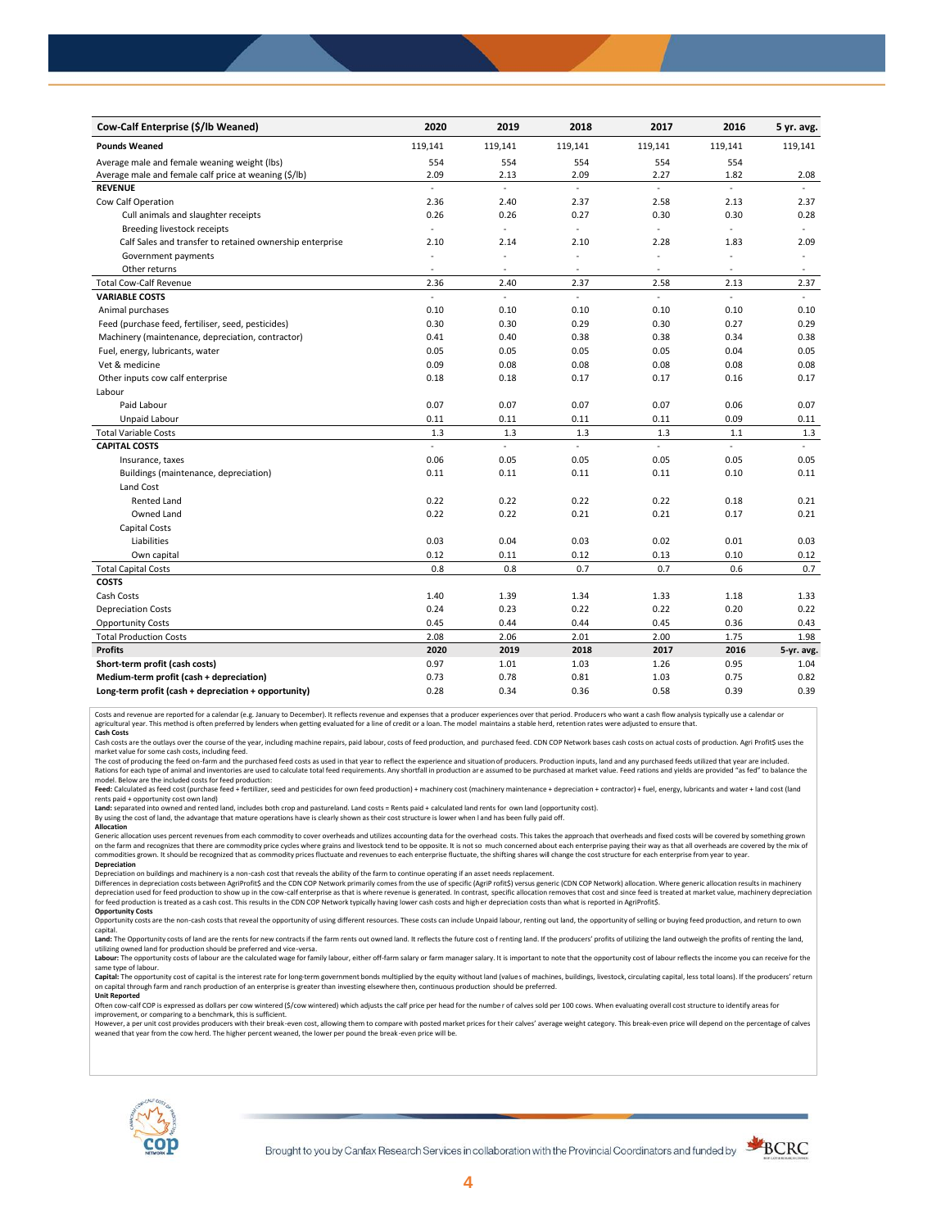| Cow-Calf Enterprise (\$/lb Weaned)                       | 2020           | 2019    | 2018           | 2017           | 2016           | 5 yr. avg. |
|----------------------------------------------------------|----------------|---------|----------------|----------------|----------------|------------|
| <b>Pounds Weaned</b>                                     | 119,141        | 119,141 | 119,141        | 119,141        | 119,141        | 119,141    |
| Average male and female weaning weight (lbs)             | 554            | 554     | 554            | 554            | 554            |            |
| Average male and female calf price at weaning (\$/lb)    | 2.09           | 2.13    | 2.09           | 2.27           | 1.82           | 2.08       |
| <b>REVENUE</b>                                           | ä,             | ä,      | $\mathbb{Z}^2$ | $\mathcal{L}$  | $\overline{a}$ |            |
| Cow Calf Operation                                       | 2.36           | 2.40    | 2.37           | 2.58           | 2.13           | 2.37       |
| Cull animals and slaughter receipts                      | 0.26           | 0.26    | 0.27           | 0.30           | 0.30           | 0.28       |
| Breeding livestock receipts                              | $\omega$       | ä,      | ä,             | ä,             | ÷,             | ÷.         |
| Calf Sales and transfer to retained ownership enterprise | 2.10           | 2.14    | 2.10           | 2.28           | 1.83           | 2.09       |
| Government payments                                      | ÷,             | ä,      | L,             | ä,             | ÷,             | ä,         |
| Other returns                                            | $\sim$         | ٠       | $\sim$         | $\sim$         | $\sim$         | $\sim$     |
| <b>Total Cow-Calf Revenue</b>                            | 2.36           | 2.40    | 2.37           | 2.58           | 2.13           | 2.37       |
| <b>VARIABLE COSTS</b>                                    | $\overline{a}$ | L.      | ÷.             | $\overline{a}$ |                |            |
| Animal purchases                                         | 0.10           | 0.10    | 0.10           | 0.10           | 0.10           | 0.10       |
| Feed (purchase feed, fertiliser, seed, pesticides)       | 0.30           | 0.30    | 0.29           | 0.30           | 0.27           | 0.29       |
| Machinery (maintenance, depreciation, contractor)        | 0.41           | 0.40    | 0.38           | 0.38           | 0.34           | 0.38       |
| Fuel, energy, lubricants, water                          | 0.05           | 0.05    | 0.05           | 0.05           | 0.04           | 0.05       |
| Vet & medicine                                           | 0.09           | 0.08    | 0.08           | 0.08           | 0.08           | 0.08       |
| Other inputs cow calf enterprise                         | 0.18           | 0.18    | 0.17           | 0.17           | 0.16           | 0.17       |
| Labour                                                   |                |         |                |                |                |            |
| Paid Labour                                              | 0.07           | 0.07    | 0.07           | 0.07           | 0.06           | 0.07       |
| Unpaid Labour                                            | 0.11           | 0.11    | 0.11           | 0.11           | 0.09           | 0.11       |
| <b>Total Variable Costs</b>                              | 1.3            | 1.3     | 1.3            | 1.3            | 1.1            | 1.3        |
| <b>CAPITAL COSTS</b>                                     | ÷.             | ä,      | ÷.             | u.             | $\sim$         | ÷.         |
| Insurance, taxes                                         | 0.06           | 0.05    | 0.05           | 0.05           | 0.05           | 0.05       |
| Buildings (maintenance, depreciation)                    | 0.11           | 0.11    | 0.11           | 0.11           | 0.10           | 0.11       |
| Land Cost                                                |                |         |                |                |                |            |
| <b>Rented Land</b>                                       | 0.22           | 0.22    | 0.22           | 0.22           | 0.18           | 0.21       |
| Owned Land                                               | 0.22           | 0.22    | 0.21           | 0.21           | 0.17           | 0.21       |
| Capital Costs                                            |                |         |                |                |                |            |
| Liabilities                                              | 0.03           | 0.04    | 0.03           | 0.02           | 0.01           | 0.03       |
| Own capital                                              | 0.12           | 0.11    | 0.12           | 0.13           | 0.10           | 0.12       |
| <b>Total Capital Costs</b>                               | 0.8            | 0.8     | 0.7            | 0.7            | 0.6            | 0.7        |
| <b>COSTS</b>                                             |                |         |                |                |                |            |
| Cash Costs                                               | 1.40           | 1.39    | 1.34           | 1.33           | 1.18           | 1.33       |
| <b>Depreciation Costs</b>                                | 0.24           | 0.23    | 0.22           | 0.22           | 0.20           | 0.22       |
| <b>Opportunity Costs</b>                                 | 0.45           | 0.44    | 0.44           | 0.45           | 0.36           | 0.43       |
| <b>Total Production Costs</b>                            | 2.08           | 2.06    | 2.01           | 2.00           | 1.75           | 1.98       |
| <b>Profits</b>                                           | 2020           | 2019    | 2018           | 2017           | 2016           | 5-yr. avg. |
| Short-term profit (cash costs)                           | 0.97           | 1.01    | 1.03           | 1.26           | 0.95           | 1.04       |
| Medium-term profit (cash + depreciation)                 | 0.73           | 0.78    | 0.81           | 1.03           | 0.75           | 0.82       |
| Long-term profit (cash + depreciation + opportunity)     | 0.28           | 0.34    | 0.36           | 0.58           | 0.39           | 0.39       |

Costs and revenue are reported for a calendar (e.g. January to December). It reflects revenue and expenses that a producer experiences over that period. Producers who want a cash flow analysis typically use a calendar or<br>a

cash costs are the outlays over the course of the year, including machine repairs, paid labour, costs of feed production, and purchased feed. CDN COP Network bases cash costs on actual costs of production. Agri Profit\$ use

market value for some cash costs, including feed.

The cost of producing the feed on-farm and the purchased feed costs as used in that year to reflect the experience and situation of producers. Production inputs, land and any purchased feeds utilized that year are included model. Below are the included costs for feed production:

Feed: Calculated as feed cost (purchase feed + fertilizer, seed and pesticides for own feed production) + machinery cost (machinery maintenance + depreciation + contractor) + fuel, energy, lubricants and water + land cost

Land: separated into owned and rented land, includes both crop and pastureland. Land costs = Rents paid + calculated land rents for own land (opportunity cost).

By using the cost of land, the advantage that mature operations have is clearly shown as their cost structure is lower when l and has been fully paid off.

# **Allocation**

Generic allocation uses percent revenues from each commodity to cover overheads and utilizes accounting data for the overhead costs. This takes the approach that overheads and fixed costs will be covered by something grown on the farm and recognizes that there are commodity price cycles where grains and livestock tend to be opposite. It is not so much concerned about each enterprise paying their way as that all overheads are covered by the m **Depreciation**

Depreciation on buildings and machinery is a non-cash cost that reveals the ability of the farm to continue operating if an asset needs replacement.

Differences in depreciation costs between AgriProfit\$ and the CDN COP Network primarily comes from the use of specific (AgriP rofit\$) versus generic (CDN COP Network) allocation. Where generic allocation results in machine

## **Opportunity Costs**

Opportunity costs are the non-cash costs that reveal the opportunity of using different resources. These costs can include Unpaid labour, renting out land, the opportunity of selling or buying feed production, and return t Land: The Opportunity costs of land are the rents for new contracts if the farm rents out owned land. It reflects the future cost of renting land. If the producers' profits of utilizing the land outweigh the profits of ren

utilizing owned land for production should be preferred and vice-versa.<br>**Labour:** The opportunity costs of labour are the calculated wage for family labour, either off-farm salary or farm manager salary. It is important to same type of labour.

Capital: The opportunity cost of capital is the interest rate for long-term government bonds multiplied by the equity without land (values of machines, buildings, livestock, circulating capital, less total loans). If the p on capital through farm and ranch production of an enterprise is greater than investing elsewhere then, continuous production should be preferred. **Unit Reported**

Often cow-calf COP is expressed as dollars per cow wintered (\$/cow wintered) which adjusts the calf price per head for the numbe r of calves sold per 100 cows. When evaluating overall cost structure to identify areas for

improvement, or comparing to a benchmark, this is sufficient.<br>However, a per unit cost provides producers with their break-even cost, allowing them to compare with posted market prices for their calves' average weight cate weaned that year from the cow herd. The higher percent weaned, the lower per pound the break -even price will be.



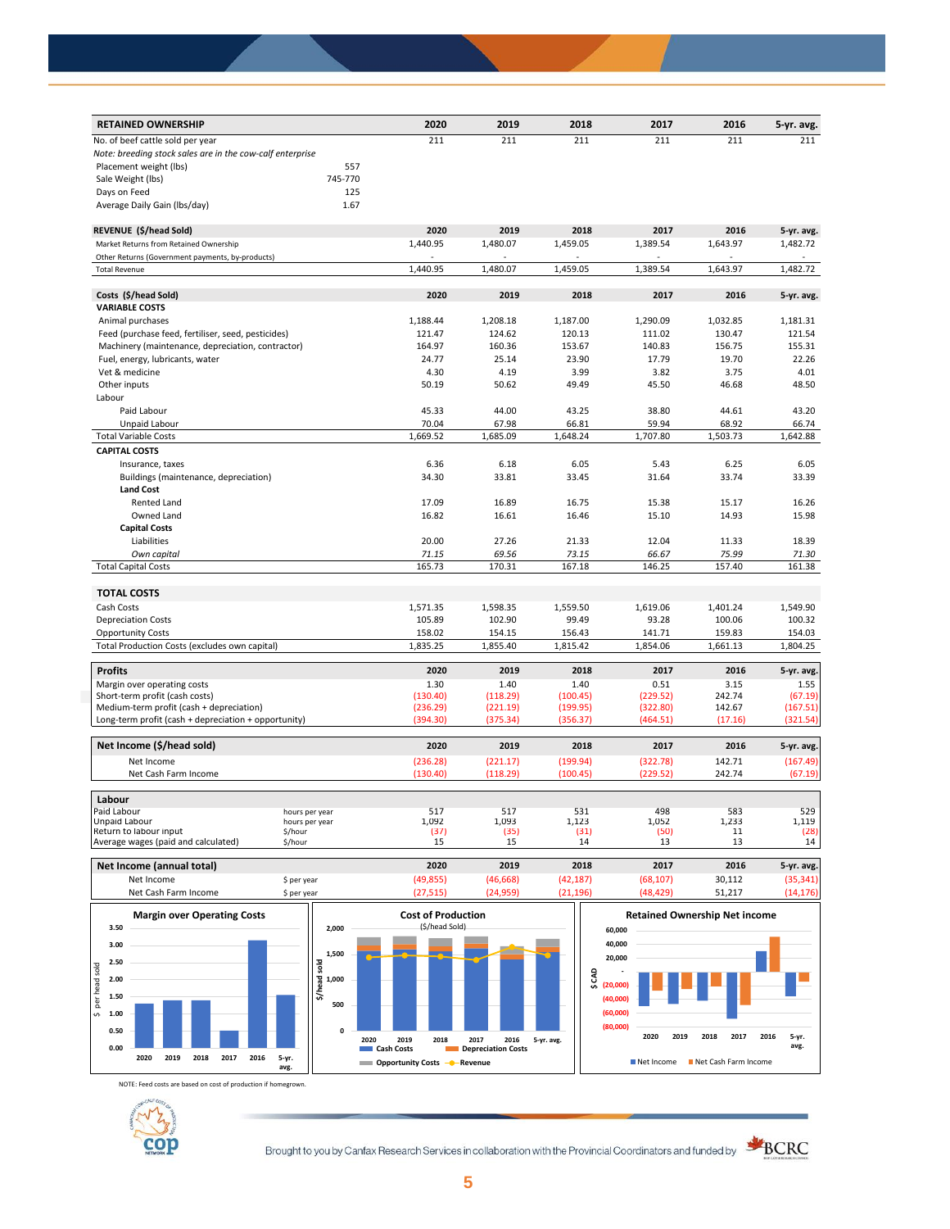| <b>RETAINED OWNERSHIP</b>                                 |                                  | 2020     | 2019     | 2018     | 2017     | 2016     | 5-yr. avg. |
|-----------------------------------------------------------|----------------------------------|----------|----------|----------|----------|----------|------------|
| No. of beef cattle sold per year                          |                                  | 211      | 211      | 211      | 211      | 211      | 211        |
| Note: breeding stock sales are in the cow-calf enterprise |                                  |          |          |          |          |          |            |
| Placement weight (lbs)                                    | 557                              |          |          |          |          |          |            |
| Sale Weight (lbs)                                         | 745-770                          |          |          |          |          |          |            |
| Days on Feed                                              | 125                              |          |          |          |          |          |            |
| Average Daily Gain (Ibs/day)                              | 1.67                             |          |          |          |          |          |            |
|                                                           |                                  |          |          |          |          |          |            |
| REVENUE (\$/head Sold)                                    |                                  | 2020     | 2019     | 2018     | 2017     | 2016     | 5-yr. avg. |
| Market Returns from Retained Ownership                    |                                  | 1,440.95 | 1,480.07 | 1,459.05 | 1,389.54 | 1,643.97 | 1,482.72   |
| Other Returns (Government payments, by-products)          |                                  |          |          |          |          |          |            |
| <b>Total Revenue</b>                                      |                                  | 1.440.95 | 1,480.07 | 1,459.05 | 1,389.54 | 1,643.97 | 1,482.72   |
| Costs (\$/head Sold)                                      |                                  | 2020     | 2019     | 2018     | 2017     | 2016     | 5-yr. avg. |
| <b>VARIABLE COSTS</b>                                     |                                  |          |          |          |          |          |            |
| Animal purchases                                          |                                  | 1,188.44 | 1,208.18 | 1,187.00 | 1,290.09 | 1,032.85 | 1,181.31   |
| Feed (purchase feed, fertiliser, seed, pesticides)        |                                  | 121.47   | 124.62   | 120.13   | 111.02   | 130.47   | 121.54     |
| Machinery (maintenance, depreciation, contractor)         |                                  | 164.97   | 160.36   | 153.67   | 140.83   | 156.75   | 155.31     |
| Fuel, energy, lubricants, water                           |                                  | 24.77    | 25.14    | 23.90    | 17.79    | 19.70    | 22.26      |
| Vet & medicine                                            |                                  | 4.30     | 4.19     | 3.99     | 3.82     | 3.75     | 4.01       |
|                                                           |                                  | 50.19    | 50.62    | 49.49    | 45.50    | 46.68    | 48.50      |
| Other inputs                                              |                                  |          |          |          |          |          |            |
| Labour                                                    |                                  |          |          |          |          |          |            |
| Paid Labour                                               |                                  | 45.33    | 44.00    | 43.25    | 38.80    | 44.61    | 43.20      |
| Unpaid Labour                                             |                                  | 70.04    | 67.98    | 66.81    | 59.94    | 68.92    | 66.74      |
| <b>Total Variable Costs</b>                               |                                  | 1,669.52 | 1,685.09 | 1,648.24 | 1,707.80 | 1,503.73 | 1,642.88   |
| <b>CAPITAL COSTS</b>                                      |                                  |          |          |          |          |          |            |
| Insurance, taxes                                          |                                  | 6.36     | 6.18     | 6.05     | 5.43     | 6.25     | 6.05       |
| Buildings (maintenance, depreciation)                     |                                  | 34.30    | 33.81    | 33.45    | 31.64    | 33.74    | 33.39      |
| <b>Land Cost</b>                                          |                                  |          |          |          |          |          |            |
| <b>Rented Land</b>                                        |                                  | 17.09    | 16.89    | 16.75    | 15.38    | 15.17    | 16.26      |
| Owned Land                                                |                                  | 16.82    | 16.61    | 16.46    | 15.10    | 14.93    | 15.98      |
| <b>Capital Costs</b>                                      |                                  |          |          |          |          |          |            |
| Liabilities                                               |                                  | 20.00    | 27.26    | 21.33    | 12.04    | 11.33    | 18.39      |
| Own capital                                               |                                  | 71.15    | 69.56    | 73.15    | 66.67    | 75.99    | 71.30      |
| <b>Total Capital Costs</b>                                |                                  | 165.73   | 170.31   | 167.18   | 146.25   | 157.40   | 161.38     |
| <b>TOTAL COSTS</b>                                        |                                  |          |          |          |          |          |            |
| Cash Costs                                                |                                  | 1,571.35 | 1,598.35 | 1,559.50 | 1,619.06 | 1,401.24 | 1,549.90   |
| <b>Depreciation Costs</b>                                 |                                  | 105.89   | 102.90   | 99.49    | 93.28    | 100.06   | 100.32     |
| <b>Opportunity Costs</b>                                  |                                  | 158.02   | 154.15   | 156.43   | 141.71   | 159.83   | 154.03     |
| Total Production Costs (excludes own capital)             |                                  | 1,835.25 | 1,855.40 | 1,815.42 | 1,854.06 | 1,661.13 | 1,804.25   |
|                                                           |                                  |          |          |          |          |          |            |
| <b>Profits</b>                                            |                                  | 2020     | 2019     | 2018     | 2017     | 2016     | 5-yr. avg. |
| Margin over operating costs                               |                                  | 1.30     | 1.40     | 1.40     | 0.51     | 3.15     | 1.55       |
| Short-term profit (cash costs)                            |                                  | (130.40) | (118.29) | (100.45) | (229.52) | 242.74   | (67.19)    |
| Medium-term profit (cash + depreciation)                  |                                  | (236.29) | (221.19) | (199.95) | (322.80) | 142.67   | (167.51)   |
| Long-term profit (cash + depreciation + opportunity)      |                                  | (394.30) | (375.34) | (356.37) | (464.51) | (17.16)  | (321.54)   |
| Net Income (\$/head sold)                                 |                                  | 2020     | 2019     | 2018     | 2017     | 2016     | 5-yr. avg. |
| Net Income                                                |                                  | (236.28) | (221.17) | (199.94) | (322.78) | 142.71   | (167.49)   |
| Net Cash Farm Income                                      |                                  | (130.40) | (118.29) | (100.45) | (229.52) | 242.74   | (67.19)    |
| Labour                                                    |                                  |          |          |          |          |          |            |
| Paid Labour                                               |                                  | 517      | 517      | 531      | 498      | 583      | 529        |
| Unpaid Labour                                             | hours per year<br>hours per year | 1,092    | 1,093    | 1,123    | 1,052    | 1,233    | 1,119      |
| Return to labour input<br>\$/hour                         |                                  | (37)     | (35)     | (31)     | (50)     | 11       | (28)       |
| Average wages (paid and calculated)<br>\$/hour            |                                  | 15       | 15       | 14       | 13       | 13       | 14         |





NOTE: Feed costs are based on cost of production if homegrown.



Brought to you by Canfax Research Services in collaboration with the Provincial Coordinators and funded by



**avg.**